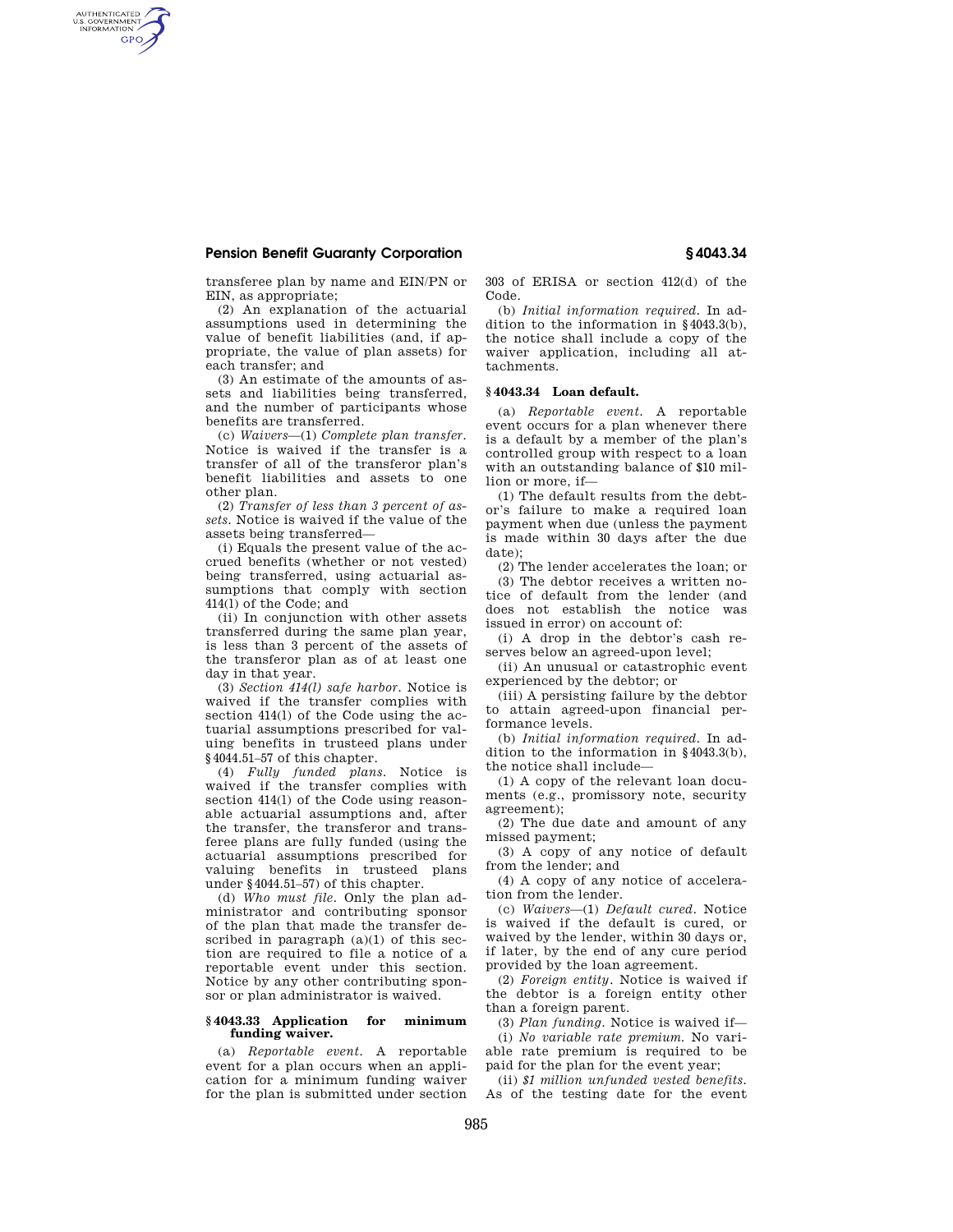## **Pension Benefit Guaranty Corporation § 4043.34**

AUTHENTICATED<br>U.S. GOVERNMENT<br>INFORMATION **GPO** 

transferee plan by name and EIN/PN or EIN, as appropriate;

(2) An explanation of the actuarial assumptions used in determining the value of benefit liabilities (and, if appropriate, the value of plan assets) for each transfer; and

(3) An estimate of the amounts of assets and liabilities being transferred, and the number of participants whose benefits are transferred.

(c) *Waivers*—(1) *Complete plan transfer.*  Notice is waived if the transfer is a transfer of all of the transferor plan's benefit liabilities and assets to one other plan.

(2) *Transfer of less than 3 percent of assets.* Notice is waived if the value of the assets being transferred—

(i) Equals the present value of the accrued benefits (whether or not vested) being transferred, using actuarial assumptions that comply with section 414(l) of the Code; and

(ii) In conjunction with other assets transferred during the same plan year, is less than 3 percent of the assets of the transferor plan as of at least one day in that year.

(3) *Section 414(l) safe harbor.* Notice is waived if the transfer complies with section 414(l) of the Code using the actuarial assumptions prescribed for valuing benefits in trusteed plans under §4044.51–57 of this chapter.

(4) *Fully funded plans.* Notice is waived if the transfer complies with section 414(l) of the Code using reasonable actuarial assumptions and, after the transfer, the transferor and transferee plans are fully funded (using the actuarial assumptions prescribed for valuing benefits in trusteed plans under §4044.51–57) of this chapter.

(d) *Who must file.* Only the plan administrator and contributing sponsor of the plan that made the transfer described in paragraph (a)(1) of this section are required to file a notice of a reportable event under this section. Notice by any other contributing sponsor or plan administrator is waived.

## **§ 4043.33 Application for minimum funding waiver.**

(a) *Reportable event.* A reportable event for a plan occurs when an application for a minimum funding waiver for the plan is submitted under section 303 of ERISA or section 412(d) of the Code.

(b) *Initial information required.* In addition to the information in §4043.3(b), the notice shall include a copy of the waiver application, including all attachments.

## **§ 4043.34 Loan default.**

(a) *Reportable event.* A reportable event occurs for a plan whenever there is a default by a member of the plan's controlled group with respect to a loan with an outstanding balance of \$10 million or more, if—

(1) The default results from the debtor's failure to make a required loan payment when due (unless the payment is made within 30 days after the due date);

(2) The lender accelerates the loan; or

(3) The debtor receives a written notice of default from the lender (and does not establish the notice was issued in error) on account of:

(i) A drop in the debtor's cash reserves below an agreed-upon level;

(ii) An unusual or catastrophic event experienced by the debtor; or

(iii) A persisting failure by the debtor to attain agreed-upon financial performance levels.

(b) *Initial information required.* In addition to the information in §4043.3(b), the notice shall include—

(1) A copy of the relevant loan documents (e.g., promissory note, security agreement);

(2) The due date and amount of any missed payment;

(3) A copy of any notice of default from the lender; and

(4) A copy of any notice of acceleration from the lender.

(c) *Waivers*—(1) *Default cured.* Notice is waived if the default is cured, or waived by the lender, within 30 days or, if later, by the end of any cure period provided by the loan agreement.

(2) *Foreign entity.* Notice is waived if the debtor is a foreign entity other than a foreign parent.

(3) *Plan funding.* Notice is waived if— (i) *No variable rate premium.* No vari-

able rate premium is required to be paid for the plan for the event year; (ii) *\$1 million unfunded vested benefits.* 

As of the testing date for the event